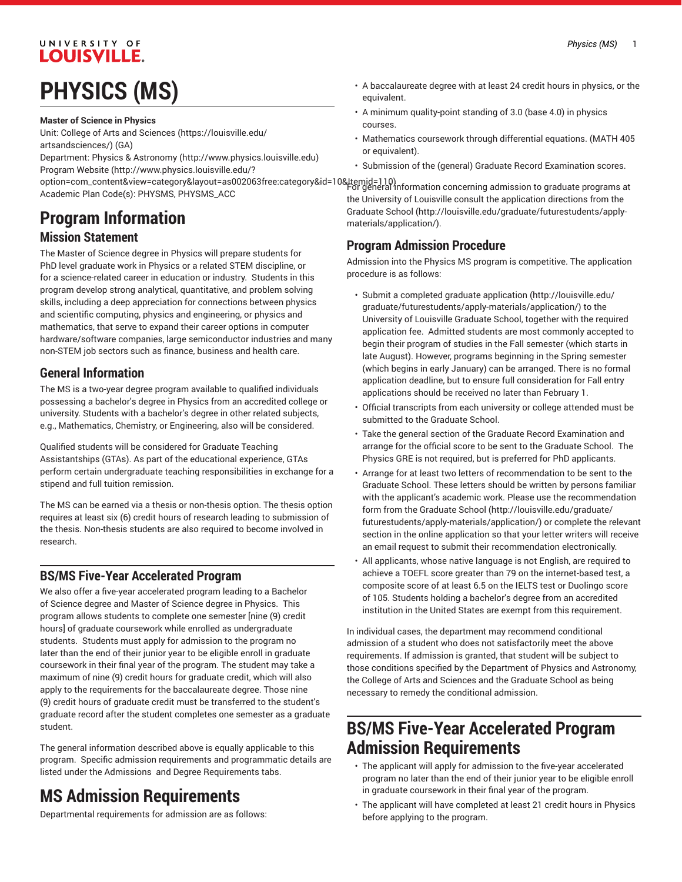## UNIVERSITY OF **LOUISVILLE.**

# **PHYSICS (MS)**

#### **Master of Science in Physics**

Unit: College of Arts and [Sciences \(https://louisville.edu/](https://louisville.edu/artsandsciences/) [artsandsciences/\)](https://louisville.edu/artsandsciences/) (GA)

Department: Physics & [Astronomy](http://www.physics.louisville.edu) ([http://www.physics.louisville.edu\)](http://www.physics.louisville.edu) [Program](http://www.physics.louisville.edu/?option=com_content&view=category&layout=as002063free:category&id=10&Itemid=110) Website [\(http://www.physics.louisville.edu/?](http://www.physics.louisville.edu/?option=com_content&view=category&layout=as002063free:category&id=10&Itemid=110)

[option=com\\_content&view=category&layout=as002063free:category&id=10&Itemid=110](http://www.physics.louisville.edu/?option=com_content&view=category&layout=as002063free:category&id=10&Itemid=110)) For general information concerning admission to graduate programs at Academic Plan Code(s): PHYSMS, PHYSMS\_ACC

# **Program Information**

## **Mission Statement**

The Master of Science degree in Physics will prepare students for PhD level graduate work in Physics or a related STEM discipline, or for a science-related career in education or industry. Students in this program develop strong analytical, quantitative, and problem solving skills, including a deep appreciation for connections between physics and scientific computing, physics and engineering, or physics and mathematics, that serve to expand their career options in computer hardware/software companies, large semiconductor industries and many non-STEM job sectors such as finance, business and health care.

## **General Information**

The MS is a two-year degree program available to qualified individuals possessing a bachelor's degree in Physics from an accredited college or university. Students with a bachelor's degree in other related subjects, e.g., Mathematics, Chemistry, or Engineering, also will be considered.

Qualified students will be considered for Graduate Teaching Assistantships (GTAs). As part of the educational experience, GTAs perform certain undergraduate teaching responsibilities in exchange for a stipend and full tuition remission.

The MS can be earned via a thesis or non-thesis option. The thesis option requires at least six (6) credit hours of research leading to submission of the thesis. Non-thesis students are also required to become involved in research.

## **BS/MS Five-Year Accelerated Program**

We also offer a five-year accelerated program leading to a Bachelor of Science degree and Master of Science degree in Physics. This program allows students to complete one semester [nine (9) credit hours] of graduate coursework while enrolled as undergraduate students. Students must apply for admission to the program no later than the end of their junior year to be eligible enroll in graduate coursework in their final year of the program. The student may take a maximum of nine (9) credit hours for graduate credit, which will also apply to the requirements for the baccalaureate degree. Those nine (9) credit hours of graduate credit must be transferred to the student's graduate record after the student completes one semester as a graduate student.

The general information described above is equally applicable to this program. Specific admission requirements and programmatic details are listed under the Admissions and Degree Requirements tabs.

## **MS Admission Requirements**

Departmental requirements for admission are as follows:

- A baccalaureate degree with at least 24 credit hours in physics, or the equivalent.
- A minimum quality-point standing of 3.0 (base 4.0) in physics courses.
- Mathematics coursework through differential equations. (MATH 405 or equivalent).
- Submission of the (general) Graduate Record Examination scores.

the University of Louisville consult the application directions from the [Graduate School](http://louisville.edu/graduate/futurestudents/apply-materials/application/) ([http://louisville.edu/graduate/futurestudents/apply](http://louisville.edu/graduate/futurestudents/apply-materials/application/)[materials/application/\)](http://louisville.edu/graduate/futurestudents/apply-materials/application/).

## **Program Admission Procedure**

Admission into the Physics MS program is competitive. The application procedure is as follows:

- Submit a completed [graduate application \(http://louisville.edu/](http://louisville.edu/graduate/futurestudents/apply-materials/application/) [graduate/futurestudents/apply-materials/application/](http://louisville.edu/graduate/futurestudents/apply-materials/application/)) to the University of Louisville Graduate School, together with the required application fee. Admitted students are most commonly accepted to begin their program of studies in the Fall semester (which starts in late August). However, programs beginning in the Spring semester (which begins in early January) can be arranged. There is no formal application deadline, but to ensure full consideration for Fall entry applications should be received no later than February 1.
- Official transcripts from each university or college attended must be submitted to the Graduate School.
- Take the general section of the Graduate Record Examination and arrange for the official score to be sent to the Graduate School. The Physics GRE is not required, but is preferred for PhD applicants.
- Arrange for at least two letters of recommendation to be sent to the Graduate School. These letters should be written by persons familiar with the applicant's academic work. Please use the recommendation form from the [Graduate School \(http://louisville.edu/graduate/](http://louisville.edu/graduate/futurestudents/apply-materials/application/) [futurestudents/apply-materials/application/\)](http://louisville.edu/graduate/futurestudents/apply-materials/application/) or complete the relevant section in the online application so that your letter writers will receive an email request to submit their recommendation electronically.
- All applicants, whose native language is not English, are required to achieve a TOEFL score greater than 79 on the internet-based test, a composite score of at least 6.5 on the IELTS test or Duolingo score of 105. Students holding a bachelor's degree from an accredited institution in the United States are exempt from this requirement.

In individual cases, the department may recommend conditional admission of a student who does not satisfactorily meet the above requirements. If admission is granted, that student will be subject to those conditions specified by the Department of Physics and Astronomy, the College of Arts and Sciences and the Graduate School as being necessary to remedy the conditional admission.

## **BS/MS Five-Year Accelerated Program Admission Requirements**

- The applicant will apply for admission to the five-year accelerated program no later than the end of their junior year to be eligible enroll in graduate coursework in their final year of the program.
- The applicant will have completed at least 21 credit hours in Physics before applying to the program.